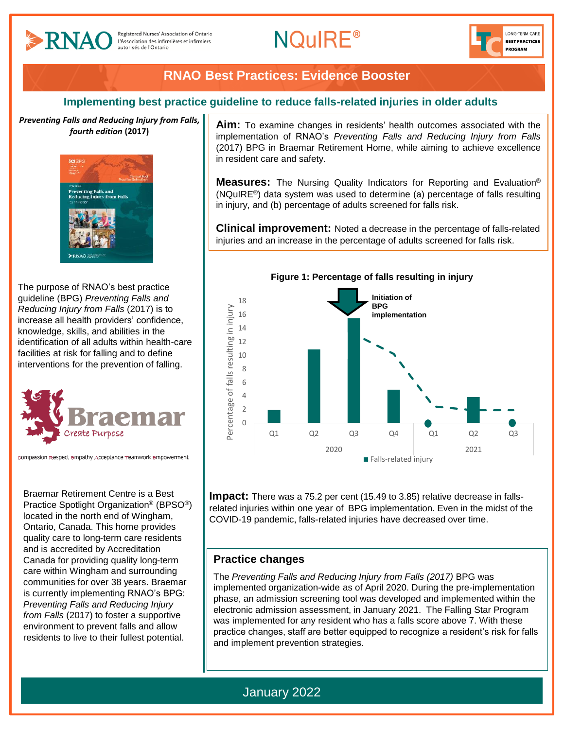

# **RNAO Best Practices: Evidence Booster**

### **Implementing best practice guideline to reduce falls-related injuries in older adults**

*Preventing Falls and Reducing Injury from Falls, fourth edition* **(2017)**



The purpose of RNAO's best practice guideline (BPG) *Preventing Falls and Reducing Injury from Falls* (2017) is to increase all health providers' confidence, knowledge, skills, and abilities in the identification of all adults within health-care facilities at risk for falling and to define interventions for the prevention of falling.



compassion respect empathy Acceptance reamwork empowerment

Braemar Retirement Centre is a Best Practice Spotlight Organization® (BPSO®) located in the north end of Wingham, Ontario, Canada. This home provides quality care to long-term care residents and is accredited by Accreditation Canada for providing quality long-term care within Wingham and surrounding communities for over 38 years. Braemar is currently implementing RNAO's BPG: *Preventing Falls and Reducing Injury from Falls* (2017) to foster a supportive environment to prevent falls and allow residents to live to their fullest potential.

**Aim:** To examine changes in residents' health outcomes associated with the implementation of RNAO's *Preventing Falls and Reducing Injury from Falls* (2017) BPG in Braemar Retirement Home, while aiming to achieve excellence in resident care and safety.

**Measures:** The Nursing Quality Indicators for Reporting and Evaluation® (NQuIRE®) data system was used to determine (a) percentage of falls resulting in injury, and (b) percentage of adults screened for falls risk.

**Clinical improvement:** Noted a decrease in the percentage of falls-related injuries and an increase in the percentage of adults screened for falls risk.



**Impact:** There was a 75.2 per cent (15.49 to 3.85) relative decrease in fallsrelated injuries within one year of BPG implementation. Even in the midst of the COVID-19 pandemic, falls-related injuries have decreased over time.

### **Practice changes**

The *Preventing Falls and Reducing Injury from Falls (2017)* BPG was implemented organization-wide as of April 2020. During the pre-implementation phase, an admission screening tool was developed and implemented within the electronic admission assessment, in January 2021. The Falling Star Program was implemented for any resident who has a falls score above 7. With these practice changes, staff are better equipped to recognize a resident's risk for falls and implement prevention strategies.